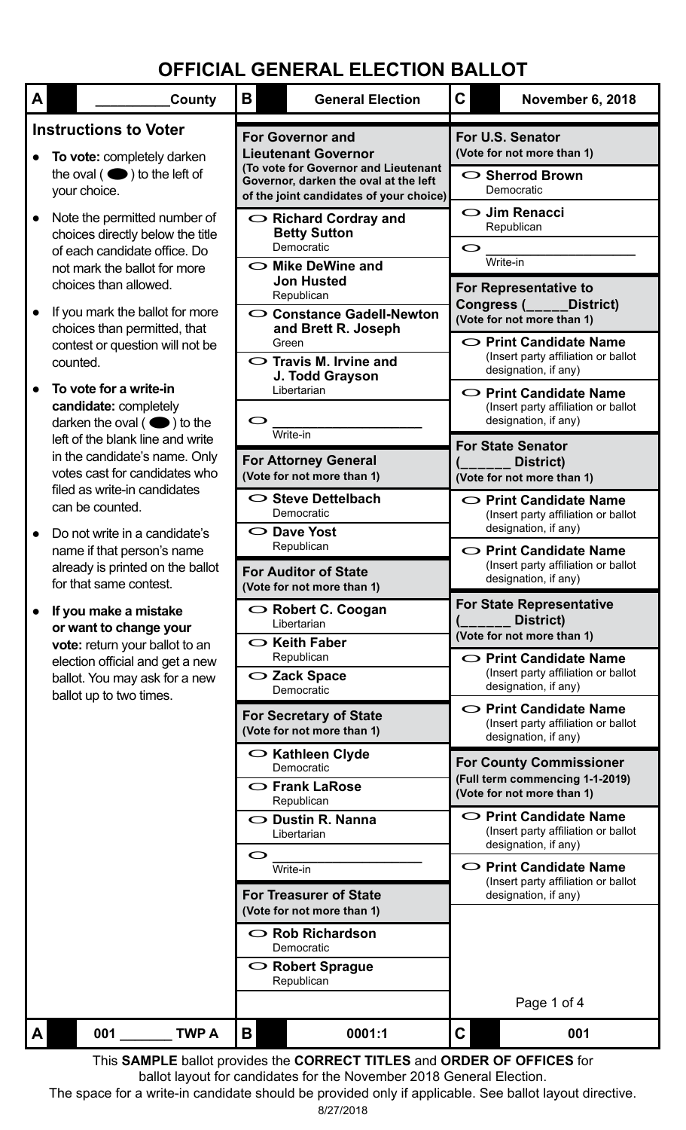| A | County                                                                                                                                                    | B<br><b>General Election</b>                                                                                                                               | $\mathbf C$<br>November 6, 2018                                                                                                                                                    |  |  |
|---|-----------------------------------------------------------------------------------------------------------------------------------------------------------|------------------------------------------------------------------------------------------------------------------------------------------------------------|------------------------------------------------------------------------------------------------------------------------------------------------------------------------------------|--|--|
|   | <b>Instructions to Voter</b><br>To vote: completely darken<br>the oval $($ $\bullet)$ to the left of<br>your choice.                                      | <b>For Governor and</b><br><b>Lieutenant Governor</b><br>(To vote for Governor and Lieutenant<br>Governor, darken the oval at the left                     | For U.S. Senator<br>(Vote for not more than 1)<br>○ Sherrod Brown<br>Democratic                                                                                                    |  |  |
|   | Note the permitted number of<br>choices directly below the title<br>of each candidate office. Do<br>not mark the ballot for more<br>choices than allowed. | of the joint candidates of your choice)<br>$\circ$ Richard Cordray and<br><b>Betty Sutton</b><br>Democratic<br>$\sim$ Mike DeWine and<br><b>Jon Husted</b> | $\bigcirc$ Jim Renacci<br>Republican<br>Write-in                                                                                                                                   |  |  |
|   | If you mark the ballot for more<br>choices than permitted, that<br>contest or question will not be<br>counted.<br>To vote for a write-in                  | Republican<br>○ Constance Gadell-Newton<br>and Brett R. Joseph<br>Green<br>$\circ$ Travis M. Irvine and<br>J. Todd Grayson                                 | <b>For Representative to</b><br>Congress (____<br>District)<br>(Vote for not more than 1)<br>○ Print Candidate Name<br>(Insert party affiliation or ballot<br>designation, if any) |  |  |
|   | candidate: completely<br>darken the oval $($ $\bullet)$ to the<br>left of the blank line and write<br>in the candidate's name. Only                       | Libertarian<br>O<br>Write-in<br><b>For Attorney General</b>                                                                                                | $\circ$ Print Candidate Name<br>(Insert party affiliation or ballot<br>designation, if any)<br><b>For State Senator</b><br>District)                                               |  |  |
|   | votes cast for candidates who<br>filed as write-in candidates<br>can be counted.<br>Do not write in a candidate's<br>name if that person's name           | (Vote for not more than 1)<br>$\circ$ Steve Dettelbach<br>Democratic<br>$\circ$ Dave Yost<br>Republican                                                    | (Vote for not more than 1)<br>$\circ$ Print Candidate Name<br>(Insert party affiliation or ballot<br>designation, if any)<br>$\circ$ Print Candidate Name                          |  |  |
|   | already is printed on the ballot<br>for that same contest.<br>If you make a mistake<br>or want to change your                                             | <b>For Auditor of State</b><br>(Vote for not more than 1)<br>$\bigcirc$ Robert C. Coogan<br>Libertarian                                                    | (Insert party affiliation or ballot<br>designation, if any)<br><b>For State Representative</b><br>District)<br>(Vote for not more than 1)                                          |  |  |
|   | vote: return your ballot to an<br>election official and get a new<br>ballot. You may ask for a new<br>ballot up to two times.                             | $\circ$ Keith Faber<br>Republican<br>$\sim$ Zack Space<br>Democratic                                                                                       | $\circ$ Print Candidate Name<br>(Insert party affiliation or ballot<br>designation, if any)<br>$\circ$ Print Candidate Name                                                        |  |  |
|   |                                                                                                                                                           | <b>For Secretary of State</b><br>(Vote for not more than 1)<br>$\circ$ Kathleen Clyde<br>Democratic<br>$\circ$ Frank LaRose                                | (Insert party affiliation or ballot<br>designation, if any)<br><b>For County Commissioner</b><br>(Full term commencing 1-1-2019)<br>(Vote for not more than 1)                     |  |  |
|   |                                                                                                                                                           | Republican<br>$\bigcirc$ Dustin R. Nanna<br>Libertarian<br>$\circ$                                                                                         | $\circ$ Print Candidate Name<br>(Insert party affiliation or ballot<br>designation, if any)                                                                                        |  |  |
|   |                                                                                                                                                           | Write-in<br><b>For Treasurer of State</b><br>(Vote for not more than 1)                                                                                    | $\circ$ Print Candidate Name<br>(Insert party affiliation or ballot<br>designation, if any)                                                                                        |  |  |
|   |                                                                                                                                                           | $\sim$ Rob Richardson<br>Democratic<br>$\circ$ Robert Sprague<br>Republican                                                                                |                                                                                                                                                                                    |  |  |
| A | <b>TWP A</b><br>001                                                                                                                                       | B<br>0001:1                                                                                                                                                | Page 1 of 4<br>$\mathbf C$<br>001                                                                                                                                                  |  |  |
|   |                                                                                                                                                           | This SAMPLE ballot provides the CORRECT TITLES and ORDER OF OFFICES for                                                                                    |                                                                                                                                                                                    |  |  |

8/27/2018 This **SAMPLE** ballot provides the **CORRECT TITLES** and **ORDER OF OFFICES** for ballot layout for candidates for the November 2018 General Election. The space for a write-in candidate should be provided only if applicable. See ballot layout directive.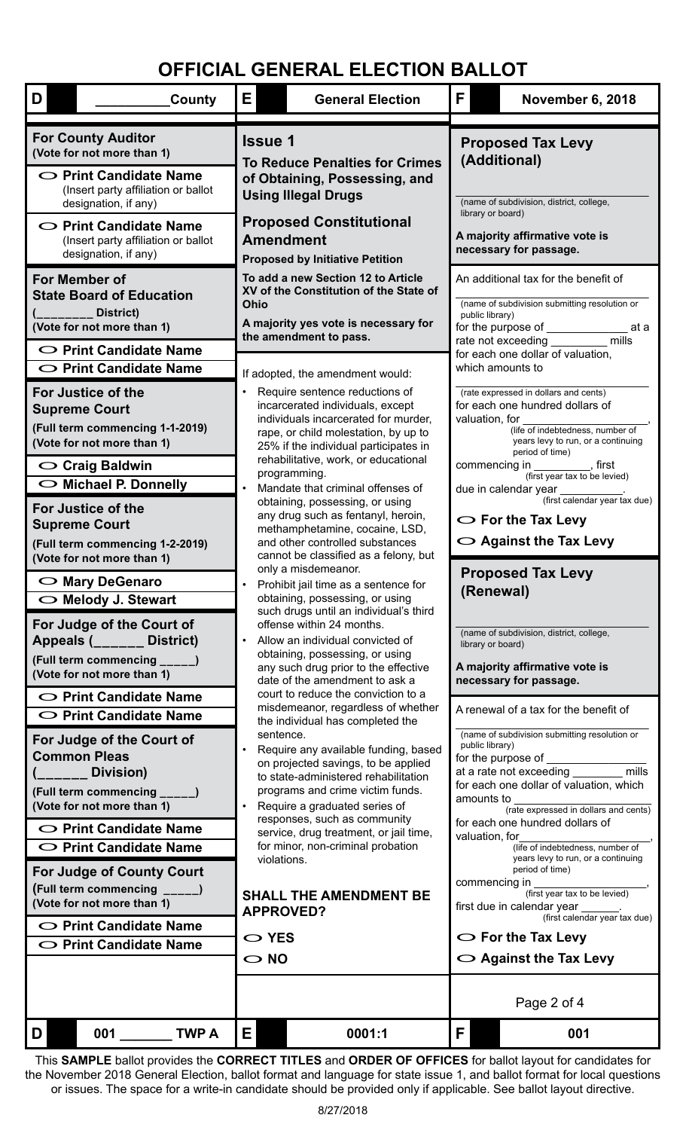| D<br><b>County</b>                                                                                                                                                                                                                                    | E.<br><b>General Election</b>                                                                                                                                                                                                                                                                                                                                                         |                                                                                                                                                                                                                                                              | F.                                                                                                                                                                                                                                                                                                                           | <b>November 6, 2018</b>                               |  |  |  |
|-------------------------------------------------------------------------------------------------------------------------------------------------------------------------------------------------------------------------------------------------------|---------------------------------------------------------------------------------------------------------------------------------------------------------------------------------------------------------------------------------------------------------------------------------------------------------------------------------------------------------------------------------------|--------------------------------------------------------------------------------------------------------------------------------------------------------------------------------------------------------------------------------------------------------------|------------------------------------------------------------------------------------------------------------------------------------------------------------------------------------------------------------------------------------------------------------------------------------------------------------------------------|-------------------------------------------------------|--|--|--|
| <b>For County Auditor</b><br>(Vote for not more than 1)<br>$\circ$ Print Candidate Name<br>(Insert party affiliation or ballot<br>designation, if any)<br>$\circ$ Print Candidate Name<br>(Insert party affiliation or ballot<br>designation, if any) | <b>Issue 1</b><br><b>To Reduce Penalties for Crimes</b><br>of Obtaining, Possessing, and<br><b>Using Illegal Drugs</b><br><b>Proposed Constitutional</b><br><b>Amendment</b><br><b>Proposed by Initiative Petition</b>                                                                                                                                                                |                                                                                                                                                                                                                                                              | <b>Proposed Tax Levy</b><br>(Additional)<br>(name of subdivision, district, college,<br>library or board)<br>A majority affirmative vote is<br>necessary for passage.                                                                                                                                                        |                                                       |  |  |  |
| For Member of<br><b>State Board of Education</b><br>District)<br>(Vote for not more than 1)<br>$\circ$ Print Candidate Name                                                                                                                           | To add a new Section 12 to Article<br>XV of the Constitution of the State of<br>Ohio<br>A majority yes vote is necessary for<br>the amendment to pass.                                                                                                                                                                                                                                |                                                                                                                                                                                                                                                              | An additional tax for the benefit of<br>(name of subdivision submitting resolution or<br>public library)<br>for the purpose of __________<br>at a<br>rate not exceeding __________ mills<br>for each one dollar of valuation,                                                                                                |                                                       |  |  |  |
| $\circ$ Print Candidate Name                                                                                                                                                                                                                          | If adopted, the amendment would:                                                                                                                                                                                                                                                                                                                                                      |                                                                                                                                                                                                                                                              |                                                                                                                                                                                                                                                                                                                              | which amounts to                                      |  |  |  |
| For Justice of the<br><b>Supreme Court</b><br>(Full term commencing 1-1-2019)<br>(Vote for not more than 1)<br>$\circ$ Craig Baldwin                                                                                                                  | Require sentence reductions of<br>incarcerated individuals, except<br>individuals incarcerated for murder,<br>rape, or child molestation, by up to<br>25% if the individual participates in<br>rehabilitative, work, or educational<br>programming.                                                                                                                                   | (rate expressed in dollars and cents)<br>for each one hundred dollars of<br>valuation, for<br>(life of indebtedness, number of<br>years levy to run, or a continuing<br>period of time)<br>commencing in ___________, first<br>(first year tax to be levied) |                                                                                                                                                                                                                                                                                                                              |                                                       |  |  |  |
| $\bigcirc$ Michael P. Donnelly                                                                                                                                                                                                                        | Mandate that criminal offenses of                                                                                                                                                                                                                                                                                                                                                     |                                                                                                                                                                                                                                                              |                                                                                                                                                                                                                                                                                                                              | due in calendar year<br>(first calendar year tax due) |  |  |  |
| For Justice of the<br><b>Supreme Court</b><br>(Full term commencing 1-2-2019)<br>(Vote for not more than 1)                                                                                                                                           | obtaining, possessing, or using<br>any drug such as fentanyl, heroin,<br>methamphetamine, cocaine, LSD,<br>and other controlled substances<br>cannot be classified as a felony, but<br>only a misdemeanor.<br>Prohibit jail time as a sentence for                                                                                                                                    |                                                                                                                                                                                                                                                              | $\bigcirc$ For the Tax Levy<br>$\circ$ Against the Tax Levy                                                                                                                                                                                                                                                                  |                                                       |  |  |  |
| ◯ Mary DeGenaro                                                                                                                                                                                                                                       |                                                                                                                                                                                                                                                                                                                                                                                       |                                                                                                                                                                                                                                                              | <b>Proposed Tax Levy</b><br>(Renewal)                                                                                                                                                                                                                                                                                        |                                                       |  |  |  |
| O Melody J. Stewart<br>For Judge of the Court of<br>Appeals (______ District)<br>(Full term commencing _____)<br>(Vote for not more than 1)<br>$\sim$ Print Candidate Name<br>○ Print Candidate Name<br>For Judge of the Court of                     | obtaining, possessing, or using<br>such drugs until an individual's third<br>offense within 24 months.<br>Allow an individual convicted of<br>obtaining, possessing, or using<br>any such drug prior to the effective<br>date of the amendment to ask a<br>court to reduce the conviction to a<br>misdemeanor, regardless of whether<br>the individual has completed the<br>sentence. | (name of subdivision, district, college,<br>library or board)<br>A majority affirmative vote is<br>necessary for passage.<br>A renewal of a tax for the benefit of<br>(name of subdivision submitting resolution or                                          |                                                                                                                                                                                                                                                                                                                              |                                                       |  |  |  |
| <b>Common Pleas</b><br>Division)<br>(Full term commencing _____)<br>(Vote for not more than 1)<br>◯ Print Candidate Name<br>$\circ$ Print Candidate Name                                                                                              | Require any available funding, based<br>on projected savings, to be applied<br>to state-administered rehabilitation<br>programs and crime victim funds.<br>Require a graduated series of<br>responses, such as community<br>service, drug treatment, or jail time,<br>for minor, non-criminal probation<br>violations.                                                                |                                                                                                                                                                                                                                                              | public library)<br>for the purpose of ___________<br>at a rate not exceeding ________ mills<br>for each one dollar of valuation, which<br>amounts to<br>(rate expressed in dollars and cents)<br>for each one hundred dollars of<br>valuation, for<br>(life of indebtedness, number of<br>years levy to run, or a continuing |                                                       |  |  |  |
| <b>For Judge of County Court</b><br>(Full term commencing ____)<br>(Vote for not more than 1)                                                                                                                                                         | <b>SHALL THE AMENDMENT BE</b><br><b>APPROVED?</b><br>$\sim$ YES<br>$\sim$ NO                                                                                                                                                                                                                                                                                                          |                                                                                                                                                                                                                                                              | period of time)<br>commencing in<br>(first year tax to be levied)<br>first due in calendar year ______.<br>(first calendar year tax due)                                                                                                                                                                                     |                                                       |  |  |  |
| $\circ$ Print Candidate Name<br>$\circ$ Print Candidate Name                                                                                                                                                                                          |                                                                                                                                                                                                                                                                                                                                                                                       |                                                                                                                                                                                                                                                              | $\circ$ For the Tax Levy<br>$\sim$ Against the Tax Levy                                                                                                                                                                                                                                                                      |                                                       |  |  |  |
|                                                                                                                                                                                                                                                       |                                                                                                                                                                                                                                                                                                                                                                                       |                                                                                                                                                                                                                                                              |                                                                                                                                                                                                                                                                                                                              |                                                       |  |  |  |
|                                                                                                                                                                                                                                                       |                                                                                                                                                                                                                                                                                                                                                                                       |                                                                                                                                                                                                                                                              |                                                                                                                                                                                                                                                                                                                              | Page 2 of 4                                           |  |  |  |
| 001<br><b>TWP A</b><br>D                                                                                                                                                                                                                              | E.<br>0001:1                                                                                                                                                                                                                                                                                                                                                                          |                                                                                                                                                                                                                                                              | F                                                                                                                                                                                                                                                                                                                            | 001                                                   |  |  |  |

This **SAMPLE** ballot provides the **CORRECT TITLES** and **ORDER OF OFFICES** for ballot layout for candidates for the November 2018 General Election, ballot format and language for state issue 1, and ballot format for local questions or issues. The space for a write-in candidate should be provided only if applicable. See ballot layout directive.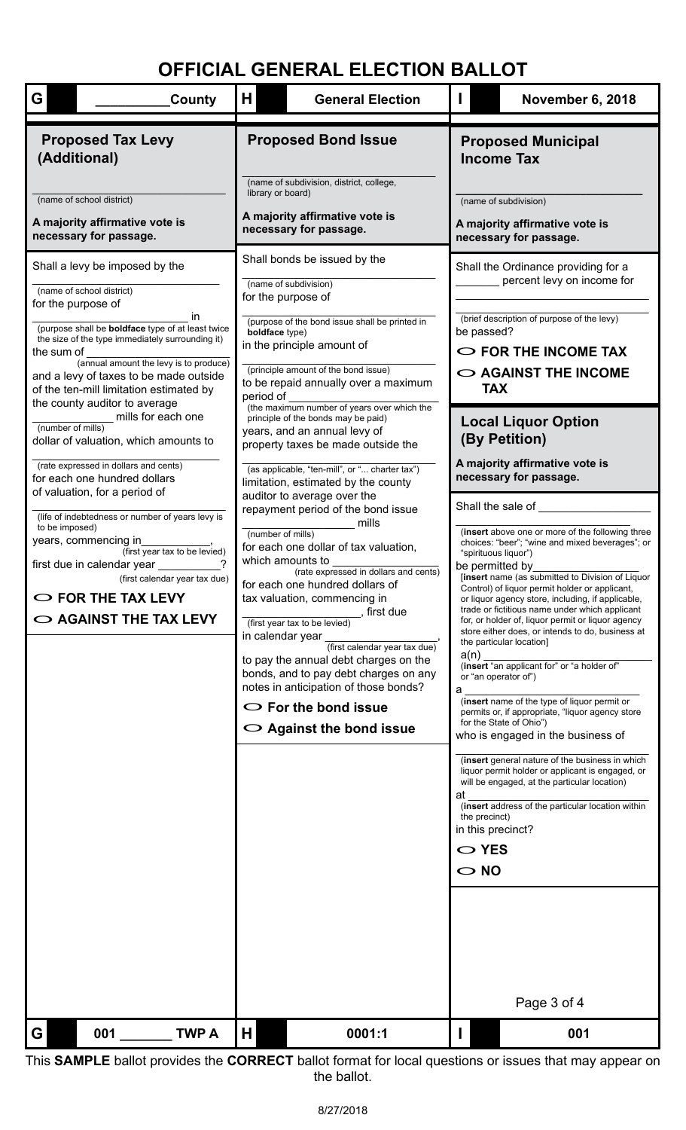| G<br>County                                                                                                                                                                                                                                                                                                                                                                           | H                                                                                                                                                                                                                                                                                                                                                                                                                                                                                                                                                                           | <b>General Election</b>                                                                                                                                                                                                                                                                    | Н                                                                                                                                                                                                                                                                                                                                                                                                                                                                                                                                                                                                                                                                                                                                                                                                                                                                                                                                                                                                                                                                 |                                                                                                         | <b>November 6, 2018</b>                                                                                                                                               |  |  |
|---------------------------------------------------------------------------------------------------------------------------------------------------------------------------------------------------------------------------------------------------------------------------------------------------------------------------------------------------------------------------------------|-----------------------------------------------------------------------------------------------------------------------------------------------------------------------------------------------------------------------------------------------------------------------------------------------------------------------------------------------------------------------------------------------------------------------------------------------------------------------------------------------------------------------------------------------------------------------------|--------------------------------------------------------------------------------------------------------------------------------------------------------------------------------------------------------------------------------------------------------------------------------------------|-------------------------------------------------------------------------------------------------------------------------------------------------------------------------------------------------------------------------------------------------------------------------------------------------------------------------------------------------------------------------------------------------------------------------------------------------------------------------------------------------------------------------------------------------------------------------------------------------------------------------------------------------------------------------------------------------------------------------------------------------------------------------------------------------------------------------------------------------------------------------------------------------------------------------------------------------------------------------------------------------------------------------------------------------------------------|---------------------------------------------------------------------------------------------------------|-----------------------------------------------------------------------------------------------------------------------------------------------------------------------|--|--|
| <b>Proposed Tax Levy</b><br>(Additional)                                                                                                                                                                                                                                                                                                                                              |                                                                                                                                                                                                                                                                                                                                                                                                                                                                                                                                                                             | <b>Proposed Bond Issue</b>                                                                                                                                                                                                                                                                 | <b>Proposed Municipal</b><br><b>Income Tax</b>                                                                                                                                                                                                                                                                                                                                                                                                                                                                                                                                                                                                                                                                                                                                                                                                                                                                                                                                                                                                                    |                                                                                                         |                                                                                                                                                                       |  |  |
| (name of school district)<br>A majority affirmative vote is<br>necessary for passage.                                                                                                                                                                                                                                                                                                 | library or board)                                                                                                                                                                                                                                                                                                                                                                                                                                                                                                                                                           | (name of subdivision, district, college,<br>A majority affirmative vote is<br>necessary for passage.                                                                                                                                                                                       | (name of subdivision)<br>A majority affirmative vote is<br>necessary for passage.                                                                                                                                                                                                                                                                                                                                                                                                                                                                                                                                                                                                                                                                                                                                                                                                                                                                                                                                                                                 |                                                                                                         |                                                                                                                                                                       |  |  |
| Shall a levy be imposed by the<br>(name of school district)<br>for the purpose of<br>ın<br>(purpose shall be <b>boldface</b> type of at least twice<br>the size of the type immediately surrounding it)<br>the sum of<br>(annual amount the levy is to produce)<br>and a levy of taxes to be made outside<br>of the ten-mill limitation estimated by<br>the county auditor to average | boldface type)<br>period of                                                                                                                                                                                                                                                                                                                                                                                                                                                                                                                                                 | Shall bonds be issued by the<br>(name of subdivision)<br>for the purpose of<br>(purpose of the bond issue shall be printed in<br>in the principle amount of<br>(principle amount of the bond issue)<br>to be repaid annually over a maximum<br>(the maximum number of years over which the |                                                                                                                                                                                                                                                                                                                                                                                                                                                                                                                                                                                                                                                                                                                                                                                                                                                                                                                                                                                                                                                                   | be passed?<br><b>TAX</b>                                                                                | Shall the Ordinance providing for a<br>percent levy on income for<br>(brief description of purpose of the levy)<br>$\circ$ FOR THE INCOME TAX<br>O AGAINST THE INCOME |  |  |
| mills for each one<br>(number of mills)<br>dollar of valuation, which amounts to<br>(rate expressed in dollars and cents)<br>for each one hundred dollars                                                                                                                                                                                                                             | principle of the bonds may be paid)<br>years, and an annual levy of<br>property taxes be made outside the<br>(as applicable, "ten-mill", or " charter tax")<br>limitation, estimated by the county                                                                                                                                                                                                                                                                                                                                                                          |                                                                                                                                                                                                                                                                                            |                                                                                                                                                                                                                                                                                                                                                                                                                                                                                                                                                                                                                                                                                                                                                                                                                                                                                                                                                                                                                                                                   | <b>Local Liquor Option</b><br>(By Petition)<br>A majority affirmative vote is<br>necessary for passage. |                                                                                                                                                                       |  |  |
| of valuation, for a period of<br>(life of indebtedness or number of years levy is<br>to be imposed)<br>years, commencing in<br>(first year tax to be levied)<br>first due in calendar year<br>(first calendar year tax due)<br>$\circ$ FOR THE TAX LEVY<br>$\circ$ AGAINST THE TAX LEVY                                                                                               | auditor to average over the<br>repayment period of the bond issue<br>mills<br>(number of mills)<br>for each one dollar of tax valuation,<br>which amounts to<br>(rate expressed in dollars and cents)<br>for each one hundred dollars of<br>tax valuation, commencing in<br>, first due<br>(first year tax to be levied)<br>in calendar year<br>(first calendar year tax due)<br>to pay the annual debt charges on the<br>bonds, and to pay debt charges on any<br>notes in anticipation of those bonds?<br>$\circ$ For the bond issue<br>$\bigcirc$ Against the bond issue |                                                                                                                                                                                                                                                                                            | Shall the sale of<br>(insert above one or more of the following three<br>choices: "beer"; "wine and mixed beverages"; or<br>"spirituous liquor")<br>be permitted by<br>[insert name (as submitted to Division of Liquor<br>Control) of liquor permit holder or applicant,<br>or liquor agency store, including, if applicable,<br>trade or fictitious name under which applicant<br>for, or holder of, liquor permit or liquor agency<br>store either does, or intends to do, business at<br>the particular location]<br>a(n)<br>(insert "an applicant for" or "a holder of"<br>or "an operator of")<br>a<br>(insert name of the type of liquor permit or<br>permits or, if appropriate, "liquor agency store<br>for the State of Ohio")<br>who is engaged in the business of<br>(insert general nature of the business in which<br>liquor permit holder or applicant is engaged, or<br>will be engaged, at the particular location)<br>at<br>(insert address of the particular location within<br>the precinct)<br>in this precinct?<br>$\sim$ YES<br>$\circ$ NO |                                                                                                         |                                                                                                                                                                       |  |  |
|                                                                                                                                                                                                                                                                                                                                                                                       |                                                                                                                                                                                                                                                                                                                                                                                                                                                                                                                                                                             |                                                                                                                                                                                                                                                                                            |                                                                                                                                                                                                                                                                                                                                                                                                                                                                                                                                                                                                                                                                                                                                                                                                                                                                                                                                                                                                                                                                   |                                                                                                         | Page 3 of 4                                                                                                                                                           |  |  |
| <b>TWPA</b><br>001<br>G                                                                                                                                                                                                                                                                                                                                                               | H                                                                                                                                                                                                                                                                                                                                                                                                                                                                                                                                                                           | 0001:1                                                                                                                                                                                                                                                                                     |                                                                                                                                                                                                                                                                                                                                                                                                                                                                                                                                                                                                                                                                                                                                                                                                                                                                                                                                                                                                                                                                   |                                                                                                         | 001                                                                                                                                                                   |  |  |

This **SAMPLE** ballot provides the **CORRECT** ballot format for local questions or issues that may appear on the ballot.